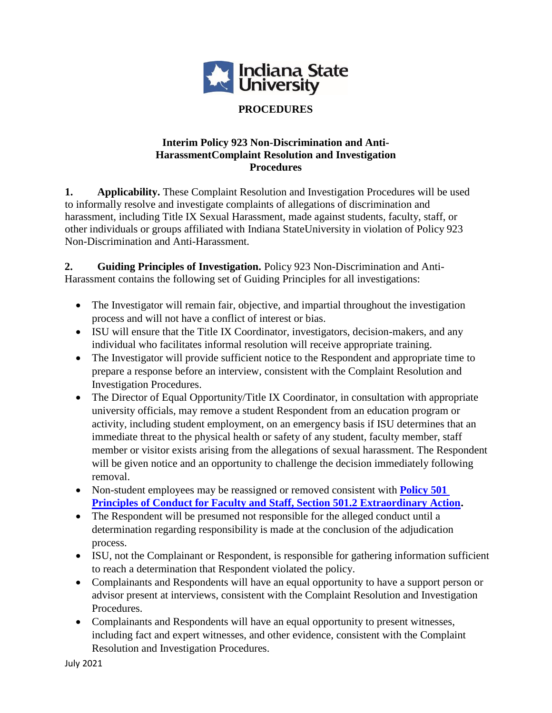

### **PROCEDURES**

### **Interim Policy 923 Non-Discrimination and Anti-HarassmentComplaint Resolution and Investigation Procedures**

**1. Applicability.** These Complaint Resolution and Investigation Procedures will be used to informally resolve and investigate complaints of allegations of discrimination and harassment, including Title IX Sexual Harassment, made against students, faculty, staff, or other individuals or groups affiliated with Indiana StateUniversity in violation of Policy 923 Non-Discrimination and Anti-Harassment.

**2. Guiding Principles of Investigation.** Policy 923 Non-Discrimination and Anti-Harassment contains the following set of Guiding Principles for all investigations:

- The Investigator will remain fair, objective, and impartial throughout the investigation process and will not have a conflict of interest or bias.
- ISU will ensure that the Title IX Coordinator, investigators, decision-makers, and any individual who facilitates informal resolution will receive appropriate training.
- The Investigator will provide sufficient notice to the Respondent and appropriate time to prepare a response before an interview, consistent with the Complaint Resolution and Investigation Procedures.
- The Director of Equal Opportunity/Title IX Coordinator, in consultation with appropriate university officials, may remove a student Respondent from an education program or activity, including student employment, on an emergency basis if ISU determines that an immediate threat to the physical health or safety of any student, faculty member, staff member or visitor exists arising from the allegations of sexual harassment. The Respondent will be given notice and an opportunity to challenge the decision immediately following removal.
- Non-student employees may be reassigned or removed consistent with **Policy 501 [Principles of Conduct for Faculty and Staff, Section 501.2 Extraordinary Action.](https://www.indstate.edu/policy-library/faculty-and-staff-principles-conduct)**
- The Respondent will be presumed not responsible for the alleged conduct until a determination regarding responsibility is made at the conclusion of the adjudication process.
- ISU, not the Complainant or Respondent, is responsible for gathering information sufficient to reach a determination that Respondent violated the policy.
- Complainants and Respondents will have an equal opportunity to have a support person or advisor present at interviews, consistent with the Complaint Resolution and Investigation Procedures.
- Complainants and Respondents will have an equal opportunity to present witnesses, including fact and expert witnesses, and other evidence, consistent with the Complaint Resolution and Investigation Procedures.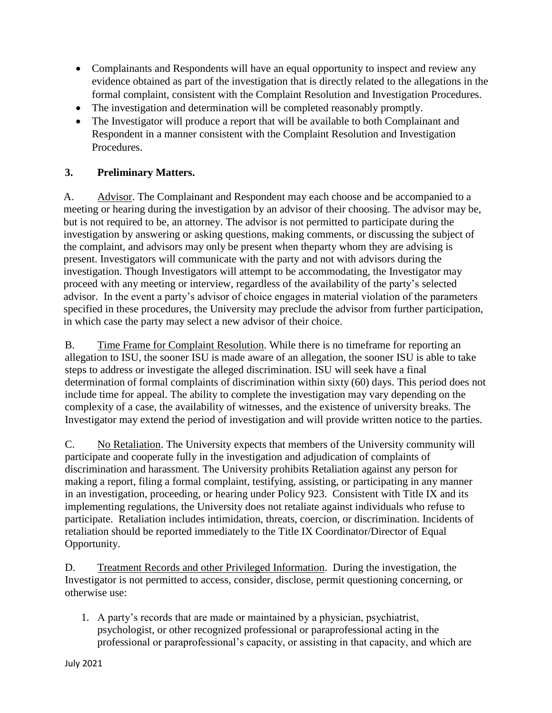- Complainants and Respondents will have an equal opportunity to inspect and review any evidence obtained as part of the investigation that is directly related to the allegations in the formal complaint, consistent with the Complaint Resolution and Investigation Procedures.
- The investigation and determination will be completed reasonably promptly.
- The Investigator will produce a report that will be available to both Complainant and Respondent in a manner consistent with the Complaint Resolution and Investigation Procedures.

### **3. Preliminary Matters.**

A. Advisor. The Complainant and Respondent may each choose and be accompanied to a meeting or hearing during the investigation by an advisor of their choosing. The advisor may be, but is not required to be, an attorney. The advisor is not permitted to participate during the investigation by answering or asking questions, making comments, or discussing the subject of the complaint, and advisors may only be present when theparty whom they are advising is present. Investigators will communicate with the party and not with advisors during the investigation. Though Investigators will attempt to be accommodating, the Investigator may proceed with any meeting or interview, regardless of the availability of the party's selected advisor. In the event a party's advisor of choice engages in material violation of the parameters specified in these procedures, the University may preclude the advisor from further participation, in which case the party may select a new advisor of their choice.

B. Time Frame for Complaint Resolution. While there is no timeframe for reporting an allegation to ISU, the sooner ISU is made aware of an allegation, the sooner ISU is able to take steps to address or investigate the alleged discrimination. ISU will seek have a final determination of formal complaints of discrimination within sixty (60) days. This period does not include time for appeal. The ability to complete the investigation may vary depending on the complexity of a case, the availability of witnesses, and the existence of university breaks. The Investigator may extend the period of investigation and will provide written notice to the parties.

C. No Retaliation. The University expects that members of the University community will participate and cooperate fully in the investigation and adjudication of complaints of discrimination and harassment. The University prohibits Retaliation against any person for making a report, filing a formal complaint, testifying, assisting, or participating in any manner in an investigation, proceeding, or hearing under Policy 923. Consistent with Title IX and its implementing regulations, the University does not retaliate against individuals who refuse to participate. Retaliation includes intimidation, threats, coercion, or discrimination. Incidents of retaliation should be reported immediately to the Title IX Coordinator/Director of Equal Opportunity.

D. Treatment Records and other Privileged Information. During the investigation, the Investigator is not permitted to access, consider, disclose, permit questioning concerning, or otherwise use:

1. A party's records that are made or maintained by a physician, psychiatrist, psychologist, or other recognized professional or paraprofessional acting in the professional or paraprofessional's capacity, or assisting in that capacity, and which are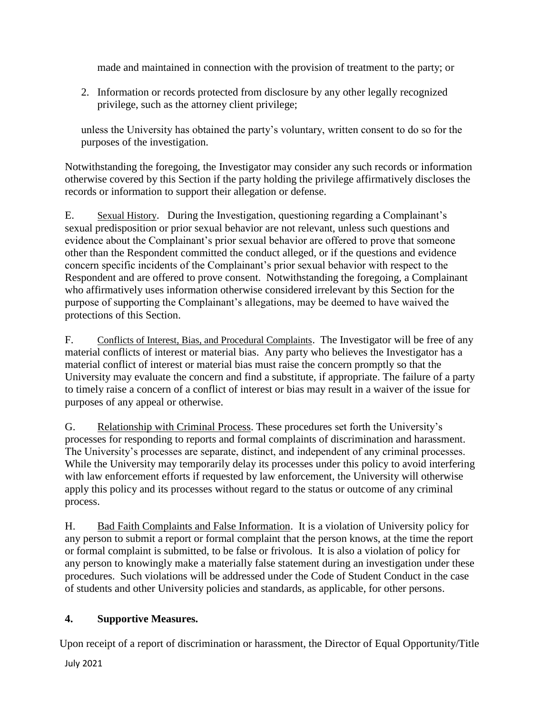made and maintained in connection with the provision of treatment to the party; or

2. Information or records protected from disclosure by any other legally recognized privilege, such as the attorney client privilege;

unless the University has obtained the party's voluntary, written consent to do so for the purposes of the investigation.

Notwithstanding the foregoing, the Investigator may consider any such records or information otherwise covered by this Section if the party holding the privilege affirmatively discloses the records or information to support their allegation or defense.

E. Sexual History. During the Investigation, questioning regarding a Complainant's sexual predisposition or prior sexual behavior are not relevant, unless such questions and evidence about the Complainant's prior sexual behavior are offered to prove that someone other than the Respondent committed the conduct alleged, or if the questions and evidence concern specific incidents of the Complainant's prior sexual behavior with respect to the Respondent and are offered to prove consent. Notwithstanding the foregoing, a Complainant who affirmatively uses information otherwise considered irrelevant by this Section for the purpose of supporting the Complainant's allegations, may be deemed to have waived the protections of this Section.

F. Conflicts of Interest, Bias, and Procedural Complaints. The Investigator will be free of any material conflicts of interest or material bias. Any party who believes the Investigator has a material conflict of interest or material bias must raise the concern promptly so that the University may evaluate the concern and find a substitute, if appropriate. The failure of a party to timely raise a concern of a conflict of interest or bias may result in a waiver of the issue for purposes of any appeal or otherwise.

G. Relationship with Criminal Process. These procedures set forth the University's processes for responding to reports and formal complaints of discrimination and harassment. The University's processes are separate, distinct, and independent of any criminal processes. While the University may temporarily delay its processes under this policy to avoid interfering with law enforcement efforts if requested by law enforcement, the University will otherwise apply this policy and its processes without regard to the status or outcome of any criminal process.

H. Bad Faith Complaints and False Information. It is a violation of University policy for any person to submit a report or formal complaint that the person knows, at the time the report or formal complaint is submitted, to be false or frivolous. It is also a violation of policy for any person to knowingly make a materially false statement during an investigation under these procedures. Such violations will be addressed under the Code of Student Conduct in the case of students and other University policies and standards, as applicable, for other persons.

# **4. Supportive Measures.**

Upon receipt of a report of discrimination or harassment, the Director of Equal Opportunity/Title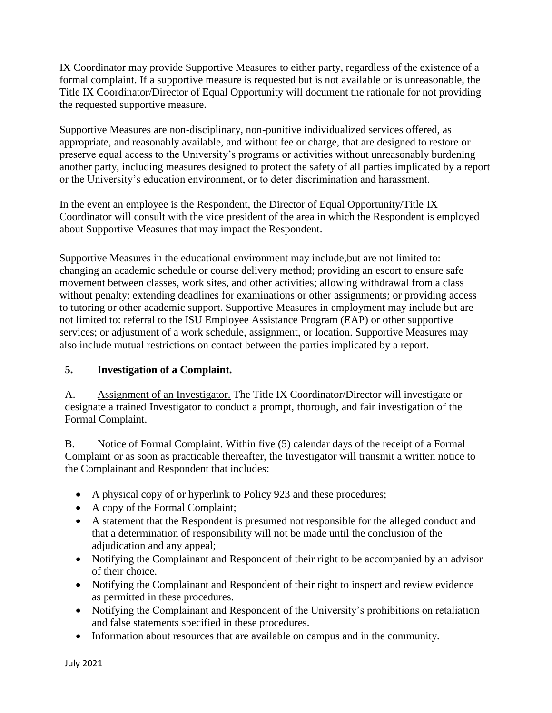IX Coordinator may provide Supportive Measures to either party, regardless of the existence of a formal complaint. If a supportive measure is requested but is not available or is unreasonable, the Title IX Coordinator/Director of Equal Opportunity will document the rationale for not providing the requested supportive measure.

Supportive Measures are non-disciplinary, non-punitive individualized services offered, as appropriate, and reasonably available, and without fee or charge, that are designed to restore or preserve equal access to the University's programs or activities without unreasonably burdening another party, including measures designed to protect the safety of all parties implicated by a report or the University's education environment, or to deter discrimination and harassment.

In the event an employee is the Respondent, the Director of Equal Opportunity/Title IX Coordinator will consult with the vice president of the area in which the Respondent is employed about Supportive Measures that may impact the Respondent.

Supportive Measures in the educational environment may include,but are not limited to: changing an academic schedule or course delivery method; providing an escort to ensure safe movement between classes, work sites, and other activities; allowing withdrawal from a class without penalty; extending deadlines for examinations or other assignments; or providing access to tutoring or other academic support. Supportive Measures in employment may include but are not limited to: referral to the ISU Employee Assistance Program (EAP) or other supportive services; or adjustment of a work schedule, assignment, or location. Supportive Measures may also include mutual restrictions on contact between the parties implicated by a report.

# **5. Investigation of a Complaint.**

A. Assignment of an Investigator. The Title IX Coordinator/Director will investigate or designate a trained Investigator to conduct a prompt, thorough, and fair investigation of the Formal Complaint.

B. Notice of Formal Complaint. Within five (5) calendar days of the receipt of a Formal Complaint or as soon as practicable thereafter, the Investigator will transmit a written notice to the Complainant and Respondent that includes:

- A physical copy of or hyperlink to Policy 923 and these procedures;
- A copy of the Formal Complaint;
- A statement that the Respondent is presumed not responsible for the alleged conduct and that a determination of responsibility will not be made until the conclusion of the adjudication and any appeal;
- Notifying the Complainant and Respondent of their right to be accompanied by an advisor of their choice.
- Notifying the Complainant and Respondent of their right to inspect and review evidence as permitted in these procedures.
- Notifying the Complainant and Respondent of the University's prohibitions on retaliation and false statements specified in these procedures.
- Information about resources that are available on campus and in the community.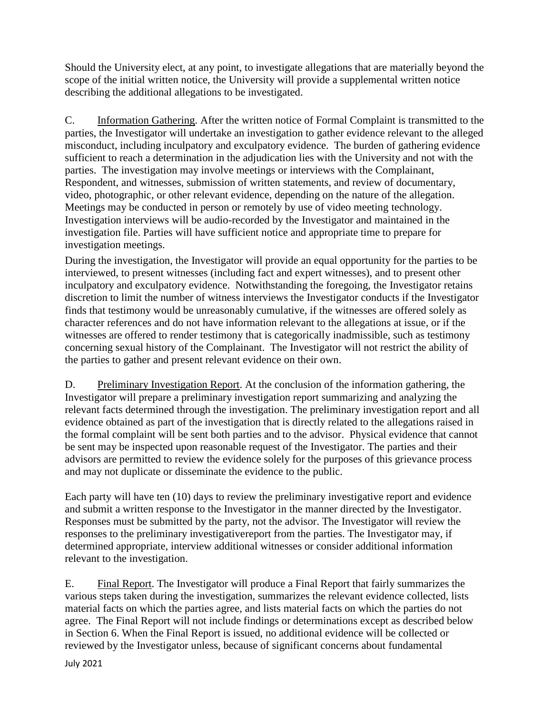Should the University elect, at any point, to investigate allegations that are materially beyond the scope of the initial written notice, the University will provide a supplemental written notice describing the additional allegations to be investigated.

C. Information Gathering. After the written notice of Formal Complaint is transmitted to the parties, the Investigator will undertake an investigation to gather evidence relevant to the alleged misconduct, including inculpatory and exculpatory evidence. The burden of gathering evidence sufficient to reach a determination in the adjudication lies with the University and not with the parties. The investigation may involve meetings or interviews with the Complainant, Respondent, and witnesses, submission of written statements, and review of documentary, video, photographic, or other relevant evidence, depending on the nature of the allegation. Meetings may be conducted in person or remotely by use of video meeting technology. Investigation interviews will be audio-recorded by the Investigator and maintained in the investigation file. Parties will have sufficient notice and appropriate time to prepare for investigation meetings.

During the investigation, the Investigator will provide an equal opportunity for the parties to be interviewed, to present witnesses (including fact and expert witnesses), and to present other inculpatory and exculpatory evidence. Notwithstanding the foregoing, the Investigator retains discretion to limit the number of witness interviews the Investigator conducts if the Investigator finds that testimony would be unreasonably cumulative, if the witnesses are offered solely as character references and do not have information relevant to the allegations at issue, or if the witnesses are offered to render testimony that is categorically inadmissible, such as testimony concerning sexual history of the Complainant. The Investigator will not restrict the ability of the parties to gather and present relevant evidence on their own.

D. Preliminary Investigation Report. At the conclusion of the information gathering, the Investigator will prepare a preliminary investigation report summarizing and analyzing the relevant facts determined through the investigation. The preliminary investigation report and all evidence obtained as part of the investigation that is directly related to the allegations raised in the formal complaint will be sent both parties and to the advisor. Physical evidence that cannot be sent may be inspected upon reasonable request of the Investigator. The parties and their advisors are permitted to review the evidence solely for the purposes of this grievance process and may not duplicate or disseminate the evidence to the public.

Each party will have ten (10) days to review the preliminary investigative report and evidence and submit a written response to the Investigator in the manner directed by the Investigator. Responses must be submitted by the party, not the advisor. The Investigator will review the responses to the preliminary investigativereport from the parties. The Investigator may, if determined appropriate, interview additional witnesses or consider additional information relevant to the investigation.

E. Final Report. The Investigator will produce a Final Report that fairly summarizes the various steps taken during the investigation, summarizes the relevant evidence collected, lists material facts on which the parties agree, and lists material facts on which the parties do not agree. The Final Report will not include findings or determinations except as described below in Section 6. When the Final Report is issued, no additional evidence will be collected or reviewed by the Investigator unless, because of significant concerns about fundamental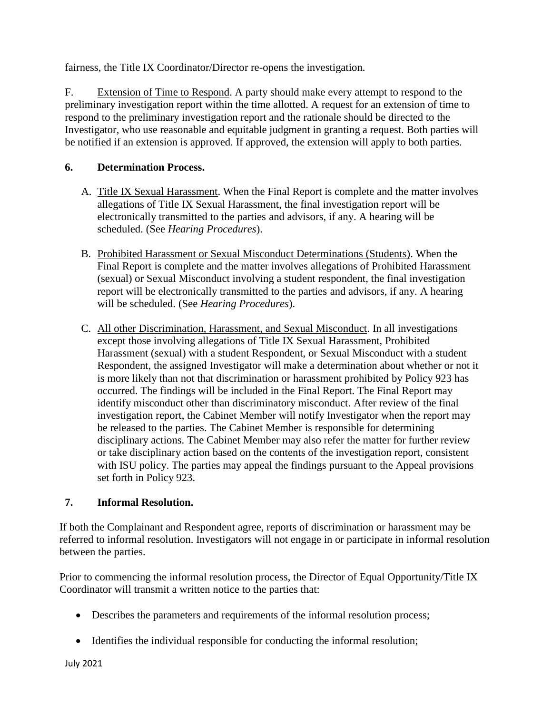fairness, the Title IX Coordinator/Director re-opens the investigation.

F. Extension of Time to Respond. A party should make every attempt to respond to the preliminary investigation report within the time allotted. A request for an extension of time to respond to the preliminary investigation report and the rationale should be directed to the Investigator, who use reasonable and equitable judgment in granting a request. Both parties will be notified if an extension is approved. If approved, the extension will apply to both parties.

### **6. Determination Process.**

- A. Title IX Sexual Harassment. When the Final Report is complete and the matter involves allegations of Title IX Sexual Harassment, the final investigation report will be electronically transmitted to the parties and advisors, if any. A hearing will be scheduled. (See *Hearing Procedures*).
- B. Prohibited Harassment or Sexual Misconduct Determinations (Students). When the Final Report is complete and the matter involves allegations of Prohibited Harassment (sexual) or Sexual Misconduct involving a student respondent, the final investigation report will be electronically transmitted to the parties and advisors, if any. A hearing will be scheduled. (See *Hearing Procedures*).
- C. All other Discrimination, Harassment, and Sexual Misconduct. In all investigations except those involving allegations of Title IX Sexual Harassment, Prohibited Harassment (sexual) with a student Respondent, or Sexual Misconduct with a student Respondent, the assigned Investigator will make a determination about whether or not it is more likely than not that discrimination or harassment prohibited by Policy 923 has occurred. The findings will be included in the Final Report. The Final Report may identify misconduct other than discriminatory misconduct. After review of the final investigation report, the Cabinet Member will notify Investigator when the report may be released to the parties. The Cabinet Member is responsible for determining disciplinary actions. The Cabinet Member may also refer the matter for further review or take disciplinary action based on the contents of the investigation report, consistent with ISU policy. The parties may appeal the findings pursuant to the Appeal provisions set forth in Policy 923.

#### **7. Informal Resolution.**

If both the Complainant and Respondent agree, reports of discrimination or harassment may be referred to informal resolution. Investigators will not engage in or participate in informal resolution between the parties.

Prior to commencing the informal resolution process, the Director of Equal Opportunity/Title IX Coordinator will transmit a written notice to the parties that:

- Describes the parameters and requirements of the informal resolution process;
- Identifies the individual responsible for conducting the informal resolution;